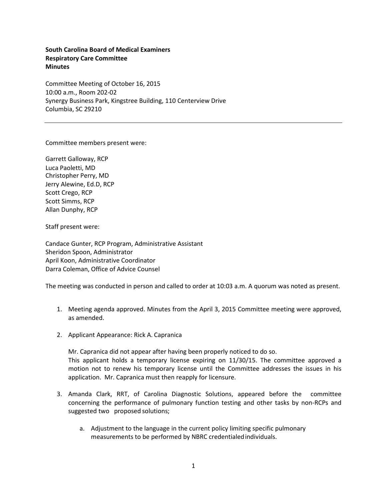**South Carolina Board of Medical Examiners Respiratory Care Committee Minutes**

Committee Meeting of October 16, 2015 10:00 a.m., Room 202-02 Synergy Business Park, Kingstree Building, 110 Centerview Drive Columbia, SC 29210

Committee members present were:

Garrett Galloway, RCP Luca Paoletti, MD Christopher Perry, MD Jerry Alewine, Ed.D, RCP Scott Crego, RCP Scott Simms, RCP Allan Dunphy, RCP

Staff present were:

Candace Gunter, RCP Program, Administrative Assistant Sheridon Spoon, Administrator April Koon, Administrative Coordinator Darra Coleman, Office of Advice Counsel

The meeting was conducted in person and called to order at 10:03 a.m. A quorum was noted as present.

- 1. Meeting agenda approved. Minutes from the April 3, 2015 Committee meeting were approved, as amended.
- 2. Applicant Appearance: Rick A. Capranica

Mr. Capranica did not appear after having been properly noticed to do so. This applicant holds a temporary license expiring on 11/30/15. The committee approved a motion not to renew his temporary license until the Committee addresses the issues in his application. Mr. Capranica must then reapply for licensure.

- 3. Amanda Clark, RRT, of Carolina Diagnostic Solutions, appeared before the committee concerning the performance of pulmonary function testing and other tasks by non-RCPs and suggested two proposed solutions;
	- a. Adjustment to the language in the current policy limiting specific pulmonary measurements to be performed by NBRC credentialedindividuals.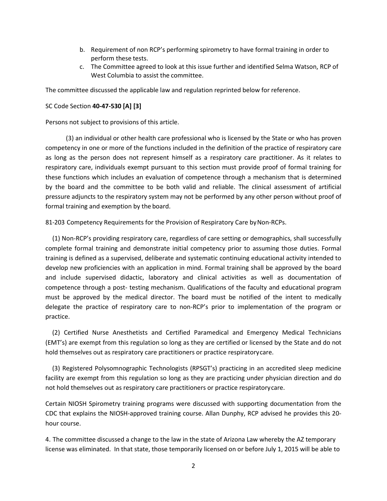- b. Requirement of non RCP's performing spirometry to have formal training in order to perform these tests.
- c. The Committee agreed to look at this issue further and identified Selma Watson, RCP of West Columbia to assist the committee.

The committee discussed the applicable law and regulation reprinted below for reference.

## SC Code Section **40-47-530 [A] [3]**

Persons not subject to provisions of this article.

(3) an individual or other health care professional who is licensed by the State or who has proven competency in one or more of the functions included in the definition of the practice of respiratory care as long as the person does not represent himself as a respiratory care practitioner. As it relates to respiratory care, individuals exempt pursuant to this section must provide proof of formal training for these functions which includes an evaluation of competence through a mechanism that is determined by the board and the committee to be both valid and reliable. The clinical assessment of artificial pressure adjuncts to the respiratory system may not be performed by any other person without proof of formal training and exemption by the board.

81-203 Competency Requirements for the Provision of Respiratory Care by Non-RCPs.

(1) Non-RCP's providing respiratory care, regardless of care setting or demographics, shall successfully complete formal training and demonstrate initial competency prior to assuming those duties. Formal training is defined as a supervised, deliberate and systematic continuing educational activity intended to develop new proficiencies with an application in mind. Formal training shall be approved by the board and include supervised didactic, laboratory and clinical activities as well as documentation of competence through a post- testing mechanism. Qualifications of the faculty and educational program must be approved by the medical director. The board must be notified of the intent to medically delegate the practice of respiratory care to non-RCP's prior to implementation of the program or practice.

(2) Certified Nurse Anesthetists and Certified Paramedical and Emergency Medical Technicians (EMT's) are exempt from this regulation so long as they are certified or licensed by the State and do not hold themselves out as respiratory care practitioners or practice respiratorycare.

(3) Registered Polysomnographic Technologists (RPSGT's) practicing in an accredited sleep medicine facility are exempt from this regulation so long as they are practicing under physician direction and do not hold themselves out as respiratory care practitioners or practice respiratorycare.

Certain NIOSH Spirometry training programs were discussed with supporting documentation from the CDC that explains the NIOSH-approved training course. Allan Dunphy, RCP advised he provides this 20 hour course.

4. The committee discussed a change to the law in the state of Arizona Law whereby the AZ temporary license was eliminated. In that state, those temporarily licensed on or before July 1, 2015 will be able to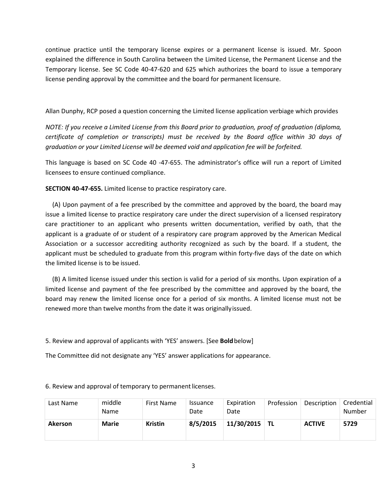continue practice until the temporary license expires or a permanent license is issued. Mr. Spoon explained the difference in South Carolina between the Limited License, the Permanent License and the Temporary license. See SC Code 40-47-620 and 625 which authorizes the board to issue a temporary license pending approval by the committee and the board for permanent licensure.

Allan Dunphy, RCP posed a question concerning the Limited license application verbiage which provides

*NOTE: If you receive a Limited License from this Board prior to graduation, proof of graduation (diploma, certificate of completion or transcripts) must be received by the Board office within 30 days of graduation or your Limited License will be deemed void and application fee will be forfeited.*

This language is based on SC Code 40 -47-655. The administrator's office will run a report of Limited licensees to ensure continued compliance.

**SECTION 40-47-655.** Limited license to practice respiratory care.

(A) Upon payment of a fee prescribed by the committee and approved by the board, the board may issue a limited license to practice respiratory care under the direct supervision of a licensed respiratory care practitioner to an applicant who presents written documentation, verified by oath, that the applicant is a graduate of or student of a respiratory care program approved by the American Medical Association or a successor accrediting authority recognized as such by the board. If a student, the applicant must be scheduled to graduate from this program within forty-five days of the date on which the limited license is to be issued.

(B) A limited license issued under this section is valid for a period of six months. Upon expiration of a limited license and payment of the fee prescribed by the committee and approved by the board, the board may renew the limited license once for a period of six months. A limited license must not be renewed more than twelve months from the date it was originallyissued.

5. Review and approval of applicants with 'YES' answers. [See **Bold**below]

The Committee did not designate any 'YES' answer applications for appearance.

| Last Name      | middle<br><b>Name</b> | <b>First Name</b> | <i>Issuance</i><br>Date | Expiration<br>Date | Profession | Description   | Credential<br>Number |
|----------------|-----------------------|-------------------|-------------------------|--------------------|------------|---------------|----------------------|
| <b>Akerson</b> | <b>Marie</b>          | <b>Kristin</b>    | 8/5/2015                | 11/30/2015         | <b>TL</b>  | <b>ACTIVE</b> | 5729                 |

6. Review and approval of temporary to permanentlicenses.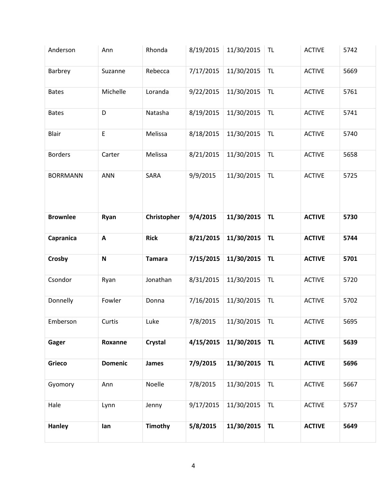| Anderson        | Ann            | Rhonda         | 8/19/2015 | 11/30/2015 | <b>TL</b> | <b>ACTIVE</b> | 5742 |
|-----------------|----------------|----------------|-----------|------------|-----------|---------------|------|
| Barbrey         | Suzanne        | Rebecca        | 7/17/2015 | 11/30/2015 | <b>TL</b> | <b>ACTIVE</b> | 5669 |
| <b>Bates</b>    | Michelle       | Loranda        | 9/22/2015 | 11/30/2015 | <b>TL</b> | <b>ACTIVE</b> | 5761 |
| <b>Bates</b>    | D              | Natasha        | 8/19/2015 | 11/30/2015 | <b>TL</b> | <b>ACTIVE</b> | 5741 |
| Blair           | E              | Melissa        | 8/18/2015 | 11/30/2015 | <b>TL</b> | <b>ACTIVE</b> | 5740 |
| <b>Borders</b>  | Carter         | Melissa        | 8/21/2015 | 11/30/2015 | <b>TL</b> | <b>ACTIVE</b> | 5658 |
| <b>BORRMANN</b> | <b>ANN</b>     | SARA           | 9/9/2015  | 11/30/2015 | <b>TL</b> | <b>ACTIVE</b> | 5725 |
| <b>Brownlee</b> | Ryan           | Christopher    | 9/4/2015  | 11/30/2015 | <b>TL</b> | <b>ACTIVE</b> | 5730 |
| Capranica       | $\mathbf{A}$   | <b>Rick</b>    | 8/21/2015 | 11/30/2015 | <b>TL</b> | <b>ACTIVE</b> | 5744 |
| Crosby          | ${\bf N}$      | <b>Tamara</b>  | 7/15/2015 | 11/30/2015 | <b>TL</b> | <b>ACTIVE</b> | 5701 |
| Csondor         | Ryan           | Jonathan       | 8/31/2015 | 11/30/2015 | <b>TL</b> | <b>ACTIVE</b> | 5720 |
| Donnelly        | Fowler         | Donna          | 7/16/2015 | 11/30/2015 | <b>TL</b> | <b>ACTIVE</b> | 5702 |
| Emberson        | Curtis         | Luke           | 7/8/2015  | 11/30/2015 | <b>TL</b> | <b>ACTIVE</b> | 5695 |
| Gager           | Roxanne        | <b>Crystal</b> | 4/15/2015 | 11/30/2015 | <b>TL</b> | <b>ACTIVE</b> | 5639 |
| Grieco          | <b>Domenic</b> | James          | 7/9/2015  | 11/30/2015 | <b>TL</b> | <b>ACTIVE</b> | 5696 |
| Gyomory         | Ann            | Noelle         | 7/8/2015  | 11/30/2015 | <b>TL</b> | <b>ACTIVE</b> | 5667 |
| Hale            | Lynn           | Jenny          | 9/17/2015 | 11/30/2015 | <b>TL</b> | <b>ACTIVE</b> | 5757 |
| <b>Hanley</b>   | lan            | <b>Timothy</b> | 5/8/2015  | 11/30/2015 | <b>TL</b> | <b>ACTIVE</b> | 5649 |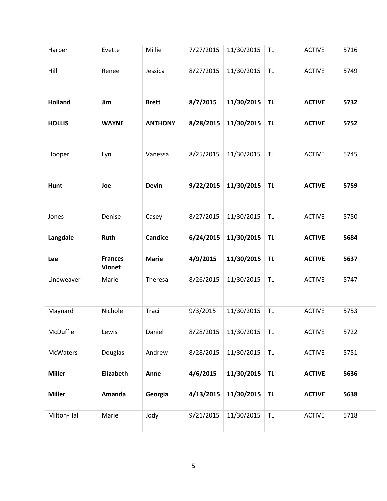| Harper         | Evette                          | Millie         | 7/27/2015 | 11/30/2015 | <b>TL</b> | <b>ACTIVE</b> | 5716 |
|----------------|---------------------------------|----------------|-----------|------------|-----------|---------------|------|
| Hill           | Renee                           | Jessica        | 8/27/2015 | 11/30/2015 | <b>TL</b> | <b>ACTIVE</b> | 5749 |
| <b>Holland</b> | Jim                             | <b>Brett</b>   | 8/7/2015  | 11/30/2015 | <b>TL</b> | <b>ACTIVE</b> | 5732 |
| <b>HOLLIS</b>  | <b>WAYNE</b>                    | <b>ANTHONY</b> | 8/28/2015 | 11/30/2015 | <b>TL</b> | <b>ACTIVE</b> | 5752 |
| Hooper         | Lyn                             | Vanessa        | 8/25/2015 | 11/30/2015 | <b>TL</b> | <b>ACTIVE</b> | 5745 |
| Hunt           | Joe                             | <b>Devin</b>   | 9/22/2015 | 11/30/2015 | <b>TL</b> | <b>ACTIVE</b> | 5759 |
| Jones          | Denise                          | Casey          | 8/27/2015 | 11/30/2015 | <b>TL</b> | <b>ACTIVE</b> | 5750 |
| Langdale       | Ruth                            | <b>Candice</b> | 6/24/2015 | 11/30/2015 | <b>TL</b> | <b>ACTIVE</b> | 5684 |
| Lee            | <b>Frances</b><br><b>Vionet</b> | <b>Marie</b>   | 4/9/2015  | 11/30/2015 | <b>TL</b> | <b>ACTIVE</b> | 5637 |
| Lineweaver     | Marie                           | Theresa        | 8/26/2015 | 11/30/2015 | <b>TL</b> | <b>ACTIVE</b> | 5747 |
| Maynard        | Nichole                         | Traci          | 9/3/2015  | 11/30/2015 | <b>TL</b> | <b>ACTIVE</b> | 5753 |
| McDuffie       | Lewis                           | Daniel         | 8/28/2015 | 11/30/2015 | TL        | <b>ACTIVE</b> | 5722 |
| McWaters       | Douglas                         | Andrew         | 8/28/2015 | 11/30/2015 | <b>TL</b> | <b>ACTIVE</b> | 5751 |
| <b>Miller</b>  | Elizabeth                       | Anne           | 4/6/2015  | 11/30/2015 | <b>TL</b> | <b>ACTIVE</b> | 5636 |
| <b>Miller</b>  | Amanda                          | Georgia        | 4/13/2015 | 11/30/2015 | <b>TL</b> | <b>ACTIVE</b> | 5638 |
| Milton-Hall    | Marie                           | Jody           | 9/21/2015 | 11/30/2015 | <b>TL</b> | <b>ACTIVE</b> | 5718 |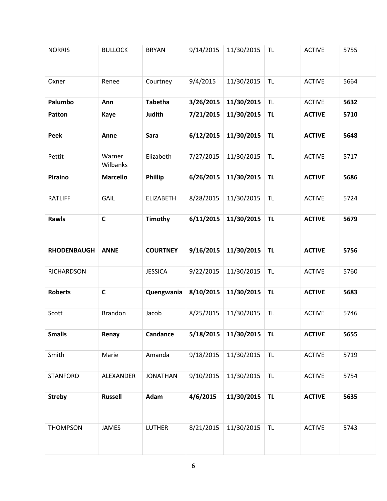| <b>NORRIS</b>      | <b>BULLOCK</b>     | <b>BRYAN</b>     | 9/14/2015 | 11/30/2015 | <b>TL</b> | <b>ACTIVE</b> | 5755 |
|--------------------|--------------------|------------------|-----------|------------|-----------|---------------|------|
| Oxner              | Renee              | Courtney         | 9/4/2015  | 11/30/2015 | <b>TL</b> | <b>ACTIVE</b> | 5664 |
| Palumbo            | Ann                | <b>Tabetha</b>   | 3/26/2015 | 11/30/2015 | <b>TL</b> | <b>ACTIVE</b> | 5632 |
| Patton             | <b>Kaye</b>        | <b>Judith</b>    | 7/21/2015 | 11/30/2015 | <b>TL</b> | <b>ACTIVE</b> | 5710 |
| Peek               | Anne               | Sara             | 6/12/2015 | 11/30/2015 | <b>TL</b> | <b>ACTIVE</b> | 5648 |
| Pettit             | Warner<br>Wilbanks | Elizabeth        | 7/27/2015 | 11/30/2015 | <b>TL</b> | <b>ACTIVE</b> | 5717 |
| Piraino            | <b>Marcello</b>    | <b>Phillip</b>   | 6/26/2015 | 11/30/2015 | <b>TL</b> | <b>ACTIVE</b> | 5686 |
| <b>RATLIFF</b>     | GAIL               | <b>ELIZABETH</b> | 8/28/2015 | 11/30/2015 | <b>TL</b> | <b>ACTIVE</b> | 5724 |
| Rawls              | $\mathsf{C}$       | <b>Timothy</b>   | 6/11/2015 | 11/30/2015 | <b>TL</b> | <b>ACTIVE</b> | 5679 |
| <b>RHODENBAUGH</b> | <b>ANNE</b>        | <b>COURTNEY</b>  | 9/16/2015 | 11/30/2015 | <b>TL</b> | <b>ACTIVE</b> | 5756 |
| <b>RICHARDSON</b>  |                    | <b>JESSICA</b>   | 9/22/2015 | 11/30/2015 | <b>TL</b> | <b>ACTIVE</b> | 5760 |
| <b>Roberts</b>     | $\mathsf{C}$       | Quengwania       | 8/10/2015 | 11/30/2015 | <b>TL</b> | <b>ACTIVE</b> | 5683 |
| Scott              | <b>Brandon</b>     | Jacob            | 8/25/2015 | 11/30/2015 | <b>TL</b> | <b>ACTIVE</b> | 5746 |
| <b>Smalls</b>      | Renay              | Candance         | 5/18/2015 | 11/30/2015 | <b>TL</b> | <b>ACTIVE</b> | 5655 |
| Smith              | Marie              | Amanda           | 9/18/2015 | 11/30/2015 | <b>TL</b> | <b>ACTIVE</b> | 5719 |
| <b>STANFORD</b>    | ALEXANDER          | <b>JONATHAN</b>  | 9/10/2015 | 11/30/2015 | <b>TL</b> | <b>ACTIVE</b> | 5754 |
| <b>Streby</b>      | <b>Russell</b>     | Adam             | 4/6/2015  | 11/30/2015 | <b>TL</b> | <b>ACTIVE</b> | 5635 |
| <b>THOMPSON</b>    | <b>JAMES</b>       | <b>LUTHER</b>    | 8/21/2015 | 11/30/2015 | <b>TL</b> | <b>ACTIVE</b> | 5743 |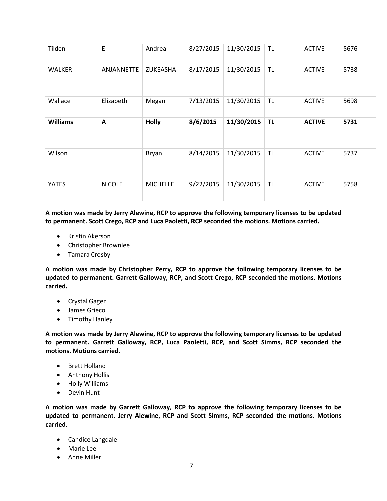| Tilden          | E             | Andrea          | 8/27/2015 | 11/30/2015 | <b>TL</b> | <b>ACTIVE</b> | 5676 |
|-----------------|---------------|-----------------|-----------|------------|-----------|---------------|------|
| <b>WALKER</b>   | ANJANNETTE    | ZUKEASHA        | 8/17/2015 | 11/30/2015 | <b>TL</b> | <b>ACTIVE</b> | 5738 |
| Wallace         | Elizabeth     | Megan           | 7/13/2015 | 11/30/2015 | <b>TL</b> | <b>ACTIVE</b> | 5698 |
| <b>Williams</b> | A             | <b>Holly</b>    | 8/6/2015  | 11/30/2015 | <b>TL</b> | <b>ACTIVE</b> | 5731 |
| Wilson          |               | Bryan           | 8/14/2015 | 11/30/2015 | TL        | <b>ACTIVE</b> | 5737 |
| YATES           | <b>NICOLE</b> | <b>MICHELLE</b> | 9/22/2015 | 11/30/2015 | TL        | <b>ACTIVE</b> | 5758 |

**A motion was made by Jerry Alewine, RCP to approve the following temporary licenses to be updated to permanent. Scott Crego, RCP and Luca Paoletti, RCP seconded the motions. Motions carried.**

- Kristin Akerson
- Christopher Brownlee
- Tamara Crosby

**A motion was made by Christopher Perry, RCP to approve the following temporary licenses to be updated to permanent. Garrett Galloway, RCP, and Scott Crego, RCP seconded the motions. Motions carried.**

- Crystal Gager
- James Grieco
- Timothy Hanley

**A motion was made by Jerry Alewine, RCP to approve the following temporary licenses to be updated to permanent. Garrett Galloway, RCP, Luca Paoletti, RCP, and Scott Simms, RCP seconded the motions. Motions carried.**

- Brett Holland
- Anthony Hollis
- Holly Williams
- Devin Hunt

**A motion was made by Garrett Galloway, RCP to approve the following temporary licenses to be updated to permanent. Jerry Alewine, RCP and Scott Simms, RCP seconded the motions. Motions carried.**

- Candice Langdale
- Marie Lee
- Anne Miller